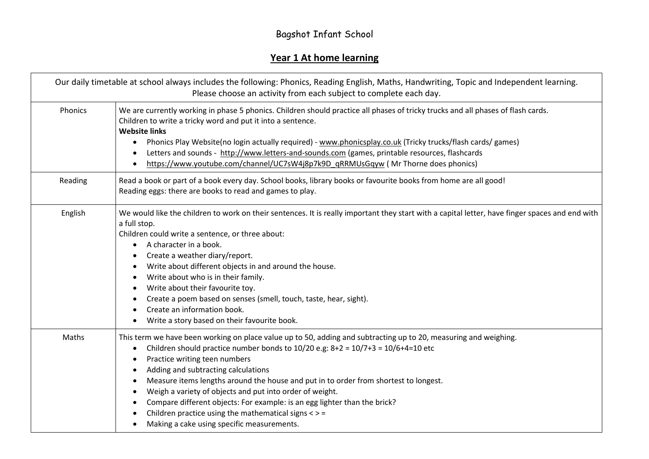## Bagshot Infant School

## **Year 1 At home learning**

|         | Our daily timetable at school always includes the following: Phonics, Reading English, Maths, Handwriting, Topic and Independent learning.<br>Please choose an activity from each subject to complete each day.                                                                                                                                                                                                                                                                                                                                                                                                                                                                                           |  |  |
|---------|-----------------------------------------------------------------------------------------------------------------------------------------------------------------------------------------------------------------------------------------------------------------------------------------------------------------------------------------------------------------------------------------------------------------------------------------------------------------------------------------------------------------------------------------------------------------------------------------------------------------------------------------------------------------------------------------------------------|--|--|
| Phonics | We are currently working in phase 5 phonics. Children should practice all phases of tricky trucks and all phases of flash cards.<br>Children to write a tricky word and put it into a sentence.<br><b>Website links</b><br>Phonics Play Website(no login actually required) - www.phonicsplay.co.uk (Tricky trucks/flash cards/ games)<br>$\bullet$<br>Letters and sounds - http://www.letters-and-sounds.com (games, printable resources, flashcards<br>$\bullet$<br>https://www.youtube.com/channel/UC7sW4j8p7k9D_qRRMUsGqyw (Mr Thorne does phonics)<br>$\bullet$                                                                                                                                      |  |  |
| Reading | Read a book or part of a book every day. School books, library books or favourite books from home are all good!<br>Reading eggs: there are books to read and games to play.                                                                                                                                                                                                                                                                                                                                                                                                                                                                                                                               |  |  |
| English | We would like the children to work on their sentences. It is really important they start with a capital letter, have finger spaces and end with<br>a full stop.<br>Children could write a sentence, or three about:<br>A character in a book.<br>$\bullet$<br>Create a weather diary/report.<br>$\bullet$<br>Write about different objects in and around the house.<br>$\bullet$<br>Write about who is in their family.<br>$\bullet$<br>Write about their favourite toy.<br>$\bullet$<br>Create a poem based on senses (smell, touch, taste, hear, sight).<br>$\bullet$<br>Create an information book.<br>$\bullet$<br>Write a story based on their favourite book.                                       |  |  |
| Maths   | This term we have been working on place value up to 50, adding and subtracting up to 20, measuring and weighing.<br>Children should practice number bonds to $10/20$ e.g: $8+2 = 10/7+3 = 10/6+4=10$ etc<br>$\bullet$<br>Practice writing teen numbers<br>$\bullet$<br>Adding and subtracting calculations<br>$\bullet$<br>Measure items lengths around the house and put in to order from shortest to longest.<br>$\bullet$<br>Weigh a variety of objects and put into order of weight.<br>$\bullet$<br>Compare different objects: For example: is an egg lighter than the brick?<br>$\bullet$<br>Children practice using the mathematical signs $\lt$ > =<br>Making a cake using specific measurements. |  |  |